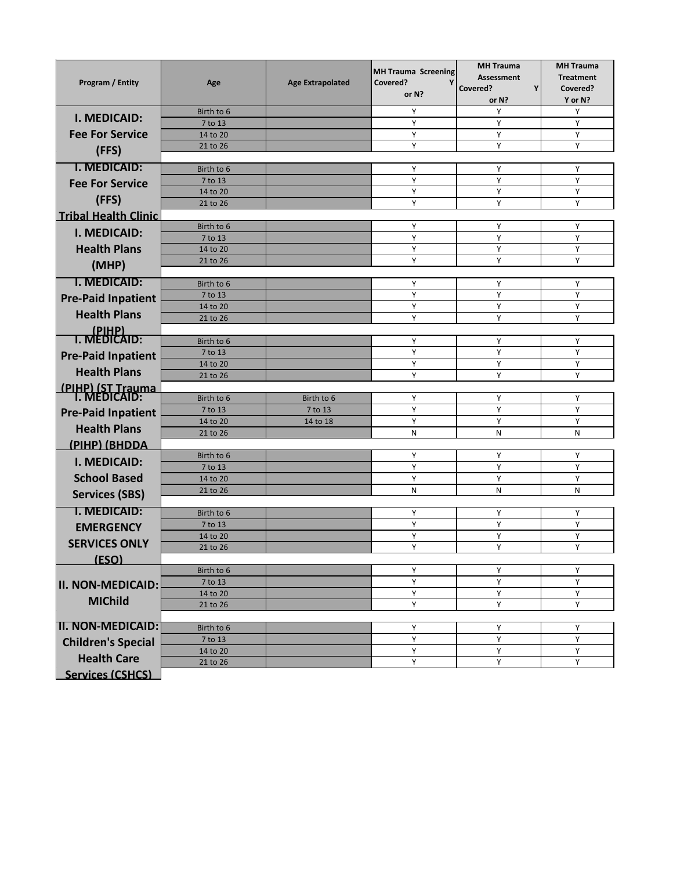| Program / Entity                   | Age                   | <b>Age Extrapolated</b> | <b>MH Trauma Screening</b><br>Covered?<br>Υ<br>or N? | <b>MH Trauma</b><br><b>Assessment</b><br>Y<br>Covered?<br>or N? | <b>MH Trauma</b><br><b>Treatment</b><br>Covered?<br>Y or N? |
|------------------------------------|-----------------------|-------------------------|------------------------------------------------------|-----------------------------------------------------------------|-------------------------------------------------------------|
| I. MEDICAID:                       | Birth to 6            |                         | Υ                                                    | Υ                                                               | Υ                                                           |
|                                    | 7 to 13               |                         | Y                                                    | Y                                                               | Υ                                                           |
| <b>Fee For Service</b>             | 14 to 20              |                         | Υ                                                    | Y                                                               | Υ                                                           |
| (FFS)                              | 21 to 26              |                         | Υ                                                    | Υ                                                               | Υ                                                           |
| I. MEDICAID:                       | Birth to 6            |                         | Y                                                    | Y                                                               | Υ                                                           |
| <b>Fee For Service</b>             | 7 to 13               |                         | Y                                                    | Y                                                               | Υ                                                           |
| (FFS)                              | 14 to 20              |                         | Y                                                    | Υ                                                               | Υ                                                           |
| <b>Tribal Health Clinic</b>        | 21 to 26              |                         | Υ                                                    | Υ                                                               | Υ                                                           |
|                                    | Birth to 6            |                         | Y                                                    | Υ                                                               | Υ                                                           |
| <b>I. MEDICAID:</b>                | 7 to 13               |                         | Y                                                    | Y                                                               | Υ                                                           |
| <b>Health Plans</b>                | 14 to 20              |                         | Y                                                    | Y                                                               | Υ                                                           |
| (MHP)                              | 21 to 26              |                         | Υ                                                    | Y                                                               | Υ                                                           |
| <b>I. MEDICAID:</b>                | Birth to 6            |                         | Y                                                    | Y                                                               | Y                                                           |
| <b>Pre-Paid Inpatient</b>          | 7 to 13               |                         | Y                                                    | Y                                                               | Y                                                           |
|                                    | 14 to 20              |                         | Y                                                    | Y                                                               | Y                                                           |
| <b>Health Plans</b>                | 21 to 26              |                         | Y                                                    | Y                                                               | Υ                                                           |
| T. (PIHP)<br>T. MEDICAID:          | Birth to 6            |                         | Y                                                    | Υ                                                               | Υ                                                           |
|                                    | 7 to 13               |                         | Y                                                    | Y                                                               | Y                                                           |
| <b>Pre-Paid Inpatient</b>          | 14 to 20              |                         | Υ                                                    | Υ                                                               | Υ                                                           |
| <b>Health Plans</b>                | 21 to 26              |                         | Υ                                                    | Υ                                                               | Υ                                                           |
| (PIHP) (ST Trauma)<br>I. MEDICAID: |                       |                         |                                                      |                                                                 |                                                             |
|                                    | Birth to 6<br>7 to 13 | Birth to 6<br>7 to 13   | Υ<br>Υ                                               | Y<br>Υ                                                          | Υ<br>Υ                                                      |
| <b>Pre-Paid Inpatient</b>          | 14 to 20              | 14 to 18                | Υ                                                    | Υ                                                               | Υ                                                           |
| <b>Health Plans</b>                | 21 to 26              |                         | N                                                    | N                                                               | N                                                           |
| (РІНР) (ВНООА                      |                       |                         |                                                      |                                                                 |                                                             |
| <b>I. MEDICAID:</b>                | Birth to 6            |                         | Y                                                    | Υ                                                               | Υ                                                           |
| <b>School Based</b>                | 7 to 13<br>14 to 20   |                         | Y<br>Y                                               | Υ<br>Y                                                          | Υ<br>Υ                                                      |
|                                    | 21 to 26              |                         | N                                                    | N                                                               | N                                                           |
| <b>Services (SBS)</b>              |                       |                         |                                                      |                                                                 |                                                             |
| I. MEDICAID:                       | Birth to 6            |                         | Y                                                    | Υ                                                               | Υ                                                           |
| <b>EMERGENCY</b>                   | 7 to 13               |                         | Y                                                    | Y                                                               | Υ                                                           |
| <b>SERVICES ONLY</b>               | 14 to 20<br>21 to 26  |                         | Y<br>Y                                               | Υ<br>Y                                                          | Υ<br>Υ                                                      |
| (ESO)                              |                       |                         |                                                      |                                                                 |                                                             |
|                                    | Birth to 6            |                         | Υ                                                    | Υ                                                               | Υ                                                           |
| <b>II. NON-MEDICAID:</b>           | 7 to 13               |                         | Y                                                    | Y                                                               | Υ                                                           |
| <b>MIChild</b>                     | 14 to 20              |                         | Υ                                                    | Υ                                                               | Υ                                                           |
|                                    | 21 to 26              |                         | Υ                                                    | Y                                                               | Υ                                                           |
| <b>II. NON-MEDICAID:</b>           | Birth to 6            |                         | Υ                                                    | Υ                                                               | Υ                                                           |
| <b>Children's Special</b>          | 7 to 13               |                         | Υ                                                    | Υ                                                               | Υ                                                           |
|                                    | 14 to 20              |                         | Υ                                                    | Υ                                                               | Υ                                                           |
| <b>Health Care</b>                 | 21 to 26              |                         | Υ                                                    | Y                                                               | Υ                                                           |
| <b>Services (CSHCS)</b>            |                       |                         |                                                      |                                                                 |                                                             |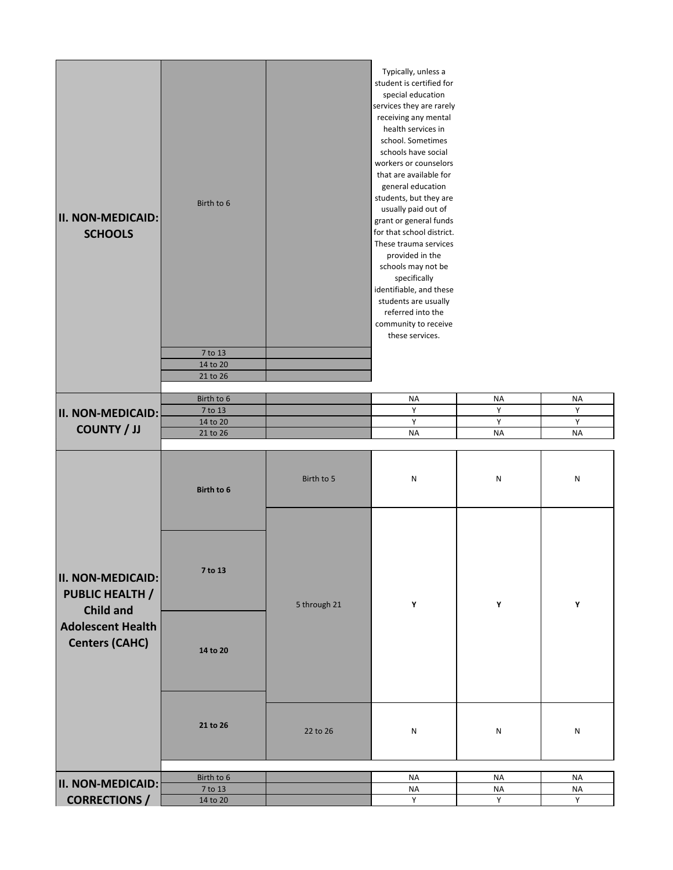| <b>II. NON-MEDICAID:</b><br><b>SCHOOLS</b>                                                                                  | Birth to 6<br>7 to 13<br>14 to 20<br>21 to 26 |              | Typically, unless a<br>student is certified for<br>special education<br>services they are rarely<br>receiving any mental<br>health services in<br>school. Sometimes<br>schools have social<br>workers or counselors<br>that are available for<br>general education<br>students, but they are<br>usually paid out of<br>grant or general funds<br>for that school district.<br>These trauma services<br>provided in the<br>schools may not be<br>specifically<br>identifiable, and these<br>students are usually<br>referred into the<br>community to receive<br>these services. |                |                |
|-----------------------------------------------------------------------------------------------------------------------------|-----------------------------------------------|--------------|---------------------------------------------------------------------------------------------------------------------------------------------------------------------------------------------------------------------------------------------------------------------------------------------------------------------------------------------------------------------------------------------------------------------------------------------------------------------------------------------------------------------------------------------------------------------------------|----------------|----------------|
|                                                                                                                             |                                               |              |                                                                                                                                                                                                                                                                                                                                                                                                                                                                                                                                                                                 |                |                |
|                                                                                                                             | Birth to 6<br>7 to 13                         |              | <b>NA</b><br>Υ                                                                                                                                                                                                                                                                                                                                                                                                                                                                                                                                                                  | <b>NA</b><br>Υ | <b>NA</b><br>Y |
| <b>II. NON-MEDICAID:</b>                                                                                                    | 14 to 20                                      |              | Υ                                                                                                                                                                                                                                                                                                                                                                                                                                                                                                                                                                               | Υ              | $\mathsf Y$    |
| <b>COUNTY / JJ</b>                                                                                                          | 21 to 26                                      |              | <b>NA</b>                                                                                                                                                                                                                                                                                                                                                                                                                                                                                                                                                                       | <b>NA</b>      | <b>NA</b>      |
|                                                                                                                             |                                               |              |                                                                                                                                                                                                                                                                                                                                                                                                                                                                                                                                                                                 |                |                |
|                                                                                                                             | Birth to 6                                    | Birth to 5   | N                                                                                                                                                                                                                                                                                                                                                                                                                                                                                                                                                                               | N              | N              |
| <b>II. NON-MEDICAID:</b><br><b>PUBLIC HEALTH /</b><br><b>Child and</b><br><b>Adolescent Health</b><br><b>Centers (CAHC)</b> | 7 to 13                                       | 5 through 21 | Y                                                                                                                                                                                                                                                                                                                                                                                                                                                                                                                                                                               | Υ              | Y              |
|                                                                                                                             | 14 to 20                                      |              |                                                                                                                                                                                                                                                                                                                                                                                                                                                                                                                                                                                 |                |                |
|                                                                                                                             | 21 to 26                                      | 22 to 26     | N                                                                                                                                                                                                                                                                                                                                                                                                                                                                                                                                                                               | N              | ${\sf N}$      |
|                                                                                                                             | Birth to 6                                    |              | <b>NA</b>                                                                                                                                                                                                                                                                                                                                                                                                                                                                                                                                                                       | <b>NA</b>      | <b>NA</b>      |
| <b>II. NON-MEDICAID:</b>                                                                                                    | 7 to 13                                       |              | <b>NA</b>                                                                                                                                                                                                                                                                                                                                                                                                                                                                                                                                                                       | <b>NA</b>      | <b>NA</b>      |
| <b>CORRECTIONS /</b>                                                                                                        | 14 to 20                                      |              | Y                                                                                                                                                                                                                                                                                                                                                                                                                                                                                                                                                                               | Y              | Y              |